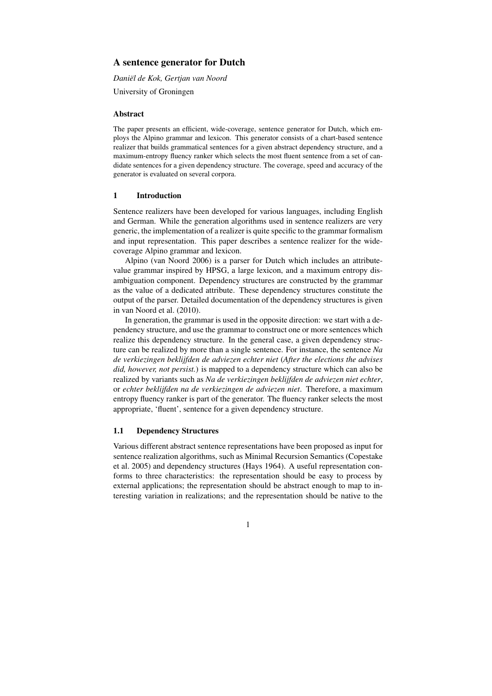# A sentence generator for Dutch

*Daniel de Kok, Gertjan van Noord ¨*

University of Groningen

## Abstract

The paper presents an efficient, wide-coverage, sentence generator for Dutch, which employs the Alpino grammar and lexicon. This generator consists of a chart-based sentence realizer that builds grammatical sentences for a given abstract dependency structure, and a maximum-entropy fluency ranker which selects the most fluent sentence from a set of candidate sentences for a given dependency structure. The coverage, speed and accuracy of the generator is evaluated on several corpora.

## 1 Introduction

Sentence realizers have been developed for various languages, including English and German. While the generation algorithms used in sentence realizers are very generic, the implementation of a realizer is quite specific to the grammar formalism and input representation. This paper describes a sentence realizer for the widecoverage Alpino grammar and lexicon.

Alpino (van Noord 2006) is a parser for Dutch which includes an attributevalue grammar inspired by HPSG, a large lexicon, and a maximum entropy disambiguation component. Dependency structures are constructed by the grammar as the value of a dedicated attribute. These dependency structures constitute the output of the parser. Detailed documentation of the dependency structures is given in van Noord et al. (2010).

In generation, the grammar is used in the opposite direction: we start with a dependency structure, and use the grammar to construct one or more sentences which realize this dependency structure. In the general case, a given dependency structure can be realized by more than a single sentence. For instance, the sentence *Na de verkiezingen beklijfden de adviezen echter niet* (*After the elections the advises did, however, not persist.*) is mapped to a dependency structure which can also be realized by variants such as *Na de verkiezingen beklijfden de adviezen niet echter*, or *echter beklijfden na de verkiezingen de adviezen niet*. Therefore, a maximum entropy fluency ranker is part of the generator. The fluency ranker selects the most appropriate, 'fluent', sentence for a given dependency structure.

#### 1.1 Dependency Structures

Various different abstract sentence representations have been proposed as input for sentence realization algorithms, such as Minimal Recursion Semantics (Copestake et al. 2005) and dependency structures (Hays 1964). A useful representation conforms to three characteristics: the representation should be easy to process by external applications; the representation should be abstract enough to map to interesting variation in realizations; and the representation should be native to the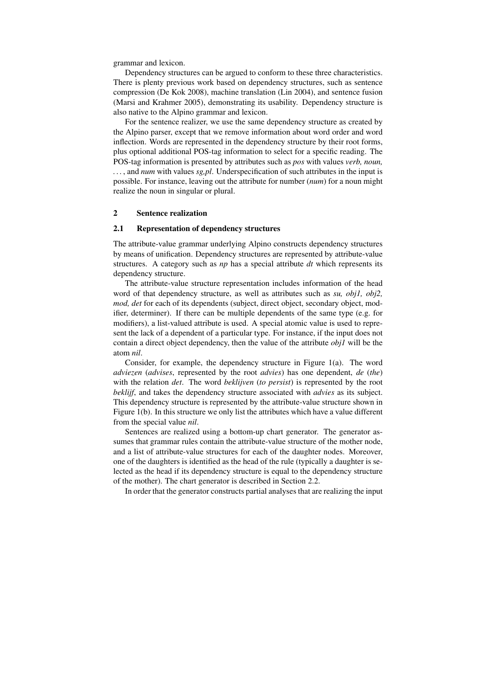grammar and lexicon.

Dependency structures can be argued to conform to these three characteristics. There is plenty previous work based on dependency structures, such as sentence compression (De Kok 2008), machine translation (Lin 2004), and sentence fusion (Marsi and Krahmer 2005), demonstrating its usability. Dependency structure is also native to the Alpino grammar and lexicon.

For the sentence realizer, we use the same dependency structure as created by the Alpino parser, except that we remove information about word order and word inflection. Words are represented in the dependency structure by their root forms, plus optional additional POS-tag information to select for a specific reading. The POS-tag information is presented by attributes such as *pos* with values *verb, noun, . . .* , and *num* with values *sg,pl*. Underspecification of such attributes in the input is possible. For instance, leaving out the attribute for number (*num*) for a noun might realize the noun in singular or plural.

## 2 Sentence realization

#### 2.1 Representation of dependency structures

The attribute-value grammar underlying Alpino constructs dependency structures by means of unification. Dependency structures are represented by attribute-value structures. A category such as *np* has a special attribute *dt* which represents its dependency structure.

The attribute-value structure representation includes information of the head word of that dependency structure, as well as attributes such as *su, obj1, obj2, mod, det* for each of its dependents (subject, direct object, secondary object, modifier, determiner). If there can be multiple dependents of the same type (e.g. for modifiers), a list-valued attribute is used. A special atomic value is used to represent the lack of a dependent of a particular type. For instance, if the input does not contain a direct object dependency, then the value of the attribute *obj1* will be the atom *nil*.

Consider, for example, the dependency structure in Figure 1(a). The word *adviezen* (*advises*, represented by the root *advies*) has one dependent, *de* (*the*) with the relation *det*. The word *beklijven* (*to persist*) is represented by the root *beklijf*, and takes the dependency structure associated with *advies* as its subject. This dependency structure is represented by the attribute-value structure shown in Figure 1(b). In this structure we only list the attributes which have a value different from the special value *nil*.

Sentences are realized using a bottom-up chart generator. The generator assumes that grammar rules contain the attribute-value structure of the mother node, and a list of attribute-value structures for each of the daughter nodes. Moreover, one of the daughters is identified as the head of the rule (typically a daughter is selected as the head if its dependency structure is equal to the dependency structure of the mother). The chart generator is described in Section 2.2.

In order that the generator constructs partial analyses that are realizing the input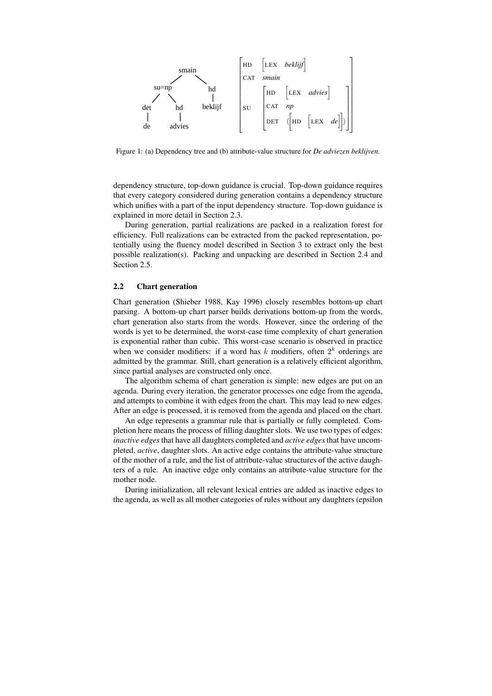

Figure 1: (a) Dependency tree and (b) attribute-value structure for *De adviezen beklijven.*

dependency structure, top-down guidance is crucial. Top-down guidance requires that every category considered during generation contains a dependency structure which unifies with a part of the input dependency structure. Top-down guidance is explained in more detail in Section 2.3.

During generation, partial realizations are packed in a realization forest for efficiency. Full realizations can be extracted from the packed representation, potentially using the fluency model described in Section 3 to extract only the best possible realization(s). Packing and unpacking are described in Section 2.4 and Section 2.5.

### 2.2 Chart generation

Chart generation (Shieber 1988, Kay 1996) closely resembles bottom-up chart parsing. A bottom-up chart parser builds derivations bottom-up from the words, chart generation also starts from the words. However, since the ordering of the words is yet to be determined, the worst-case time complexity of chart generation is exponential rather than cubic. This worst-case scenario is observed in practice when we consider modifiers: if a word has  $k$  modifiers, often  $2^k$  orderings are admitted by the grammar. Still, chart generation is a relatively efficient algorithm, since partial analyses are constructed only once.

The algorithm schema of chart generation is simple: new edges are put on an agenda. During every iteration, the generator processes one edge from the agenda, and attempts to combine it with edges from the chart. This may lead to new edges. After an edge is processed, it is removed from the agenda and placed on the chart.

An edge represents a grammar rule that is partially or fully completed. Completion here means the process of filling daughter slots. We use two types of edges: *inactive edges* that have all daughters completed and *active edges* that have uncompleted, *active*, daughter slots. An active edge contains the attribute-value structure of the mother of a rule, and the list of attribute-value structures of the active daughters of a rule. An inactive edge only contains an attribute-value structure for the mother node.

During initialization, all relevant lexical entries are added as inactive edges to the agenda, as well as all mother categories of rules without any daughters (epsilon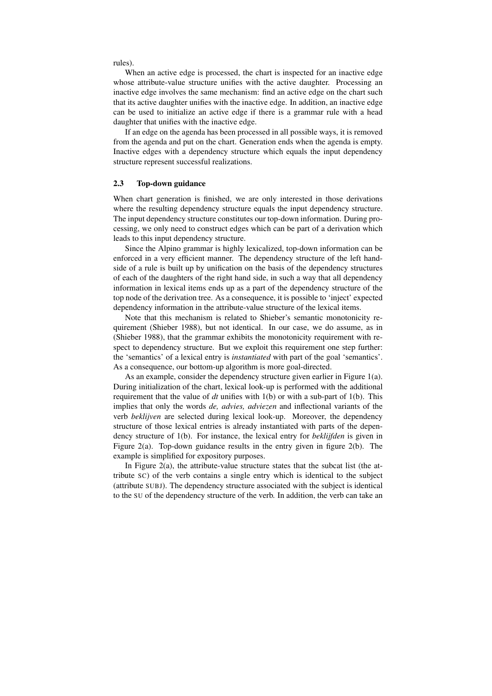rules).

When an active edge is processed, the chart is inspected for an inactive edge whose attribute-value structure unifies with the active daughter. Processing an inactive edge involves the same mechanism: find an active edge on the chart such that its active daughter unifies with the inactive edge. In addition, an inactive edge can be used to initialize an active edge if there is a grammar rule with a head daughter that unifies with the inactive edge.

If an edge on the agenda has been processed in all possible ways, it is removed from the agenda and put on the chart. Generation ends when the agenda is empty. Inactive edges with a dependency structure which equals the input dependency structure represent successful realizations.

#### 2.3 Top-down guidance

When chart generation is finished, we are only interested in those derivations where the resulting dependency structure equals the input dependency structure. The input dependency structure constitutes our top-down information. During processing, we only need to construct edges which can be part of a derivation which leads to this input dependency structure.

Since the Alpino grammar is highly lexicalized, top-down information can be enforced in a very efficient manner. The dependency structure of the left handside of a rule is built up by unification on the basis of the dependency structures of each of the daughters of the right hand side, in such a way that all dependency information in lexical items ends up as a part of the dependency structure of the top node of the derivation tree. As a consequence, it is possible to 'inject' expected dependency information in the attribute-value structure of the lexical items.

Note that this mechanism is related to Shieber's semantic monotonicity requirement (Shieber 1988), but not identical. In our case, we do assume, as in (Shieber 1988), that the grammar exhibits the monotonicity requirement with respect to dependency structure. But we exploit this requirement one step further: the 'semantics' of a lexical entry is *instantiated* with part of the goal 'semantics'. As a consequence, our bottom-up algorithm is more goal-directed.

As an example, consider the dependency structure given earlier in Figure 1(a). During initialization of the chart, lexical look-up is performed with the additional requirement that the value of *dt* unifies with 1(b) or with a sub-part of 1(b). This implies that only the words *de, advies, adviezen* and inflectional variants of the verb *beklijven* are selected during lexical look-up. Moreover, the dependency structure of those lexical entries is already instantiated with parts of the dependency structure of 1(b). For instance, the lexical entry for *beklijfden* is given in Figure 2(a). Top-down guidance results in the entry given in figure 2(b). The example is simplified for expository purposes.

In Figure  $2(a)$ , the attribute-value structure states that the subcat list (the attribute SC) of the verb contains a single entry which is identical to the subject (attribute SUBJ). The dependency structure associated with the subject is identical to the SU of the dependency structure of the verb. In addition, the verb can take an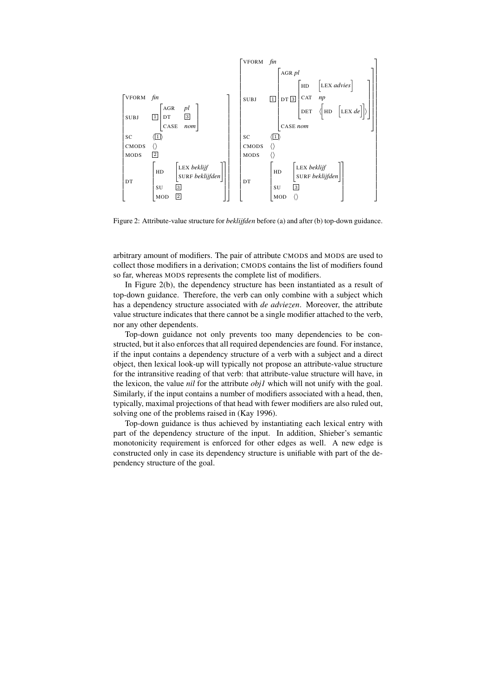

Figure 2: Attribute-value structure for *beklijfden* before (a) and after (b) top-down guidance.

arbitrary amount of modifiers. The pair of attribute CMODS and MODS are used to collect those modifiers in a derivation; CMODS contains the list of modifiers found so far, whereas MODS represents the complete list of modifiers.

In Figure 2(b), the dependency structure has been instantiated as a result of top-down guidance. Therefore, the verb can only combine with a subject which has a dependency structure associated with *de adviezen*. Moreover, the attribute value structure indicates that there cannot be a single modifier attached to the verb, nor any other dependents.

Top-down guidance not only prevents too many dependencies to be constructed, but it also enforces that all required dependencies are found. For instance, if the input contains a dependency structure of a verb with a subject and a direct object, then lexical look-up will typically not propose an attribute-value structure for the intransitive reading of that verb: that attribute-value structure will have, in the lexicon, the value *nil* for the attribute *obj1* which will not unify with the goal. Similarly, if the input contains a number of modifiers associated with a head, then, typically, maximal projections of that head with fewer modifiers are also ruled out, solving one of the problems raised in (Kay 1996).

Top-down guidance is thus achieved by instantiating each lexical entry with part of the dependency structure of the input. In addition, Shieber's semantic monotonicity requirement is enforced for other edges as well. A new edge is constructed only in case its dependency structure is unifiable with part of the dependency structure of the goal.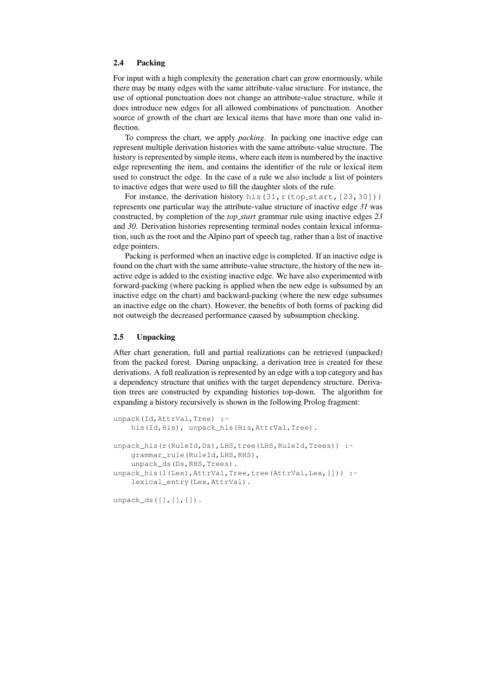## 2.4 Packing

For input with a high complexity the generation chart can grow enormously, while there may be many edges with the same attribute-value structure. For instance, the use of optional punctuation does not change an attribute-value structure, while it does introduce new edges for all allowed combinations of punctuation. Another source of growth of the chart are lexical items that have more than one valid inflection.

To compress the chart, we apply *packing*. In packing one inactive edge can represent multiple derivation histories with the same attribute-value structure. The history is represented by simple items, where each item is numbered by the inactive edge representing the item, and contains the identifier of the rule or lexical item used to construct the edge. In the case of a rule we also include a list of pointers to inactive edges that were used to fill the daughter slots of the rule.

For instance, the derivation history his(31,  $r$ (top start, [23,30])) represents one particular way the attribute-value structure of inactive edge *31* was constructed, by completion of the *top start* grammar rule using inactive edges *23* and *30*. Derivation histories representing terminal nodes contain lexical information, such as the root and the Alpino part of speech tag, rather than a list of inactive edge pointers.

Packing is performed when an inactive edge is completed. If an inactive edge is found on the chart with the same attribute-value structure, the history of the new inactive edge is added to the existing inactive edge. We have also experimented with forward-packing (where packing is applied when the new edge is subsumed by an inactive edge on the chart) and backward-packing (where the new edge subsumes an inactive edge on the chart). However, the benefits of both forms of packing did not outweigh the decreased performance caused by subsumption checking.

### 2.5 Unpacking

After chart generation, full and partial realizations can be retrieved (unpacked) from the packed forest. During unpacking, a derivation tree is created for these derivations. A full realization is represented by an edge with a top category and has a dependency structure that unifies with the target dependency structure. Derivation trees are constructed by expanding histories top-down. The algorithm for expanding a history recursively is shown in the following Prolog fragment:

```
unpack(Id,AttrVal,Tree) :-
   his(Id,His), unpack_his(His,AttrVal,Tree).
unpack his(r(RuleId,Ds),LHS,tree(LHS,RuleId,Trees)) :-
    grammar_rule(RuleId,LHS,RHS),
    unpack_ds(Ds,RHS,Trees).
unpack_his(l(Lex),AttrVal,Tree,tree(AttrVal,Lex,[])) :-
    lexical_entry(Lex,AttrVal).
```
unpack\_ds([],[],[]).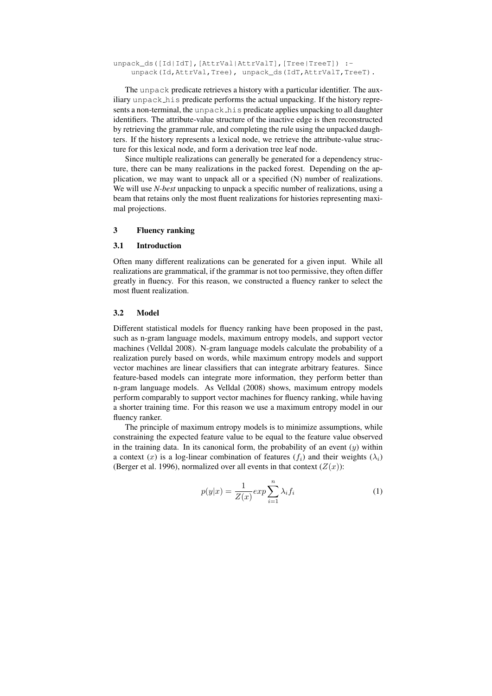unpack\_ds([Id|IdT],[AttrVal|AttrValT],[Tree|TreeT]) :unpack(Id,AttrVal,Tree), unpack\_ds(IdT,AttrValT,TreeT).

The unpack predicate retrieves a history with a particular identifier. The auxiliary unpack his predicate performs the actual unpacking. If the history represents a non-terminal, the unpack his predicate applies unpacking to all daughter identifiers. The attribute-value structure of the inactive edge is then reconstructed by retrieving the grammar rule, and completing the rule using the unpacked daughters. If the history represents a lexical node, we retrieve the attribute-value structure for this lexical node, and form a derivation tree leaf node.

Since multiple realizations can generally be generated for a dependency structure, there can be many realizations in the packed forest. Depending on the application, we may want to unpack all or a specified (N) number of realizations. We will use *N-best* unpacking to unpack a specific number of realizations, using a beam that retains only the most fluent realizations for histories representing maximal projections.

## 3 Fluency ranking

#### 3.1 Introduction

Often many different realizations can be generated for a given input. While all realizations are grammatical, if the grammar is not too permissive, they often differ greatly in fluency. For this reason, we constructed a fluency ranker to select the most fluent realization.

#### 3.2 Model

Different statistical models for fluency ranking have been proposed in the past, such as n-gram language models, maximum entropy models, and support vector machines (Velldal 2008). N-gram language models calculate the probability of a realization purely based on words, while maximum entropy models and support vector machines are linear classifiers that can integrate arbitrary features. Since feature-based models can integrate more information, they perform better than n-gram language models. As Velldal (2008) shows, maximum entropy models perform comparably to support vector machines for fluency ranking, while having a shorter training time. For this reason we use a maximum entropy model in our fluency ranker.

The principle of maximum entropy models is to minimize assumptions, while constraining the expected feature value to be equal to the feature value observed in the training data. In its canonical form, the probability of an event  $(y)$  within a context (x) is a log-linear combination of features ( $f_i$ ) and their weights ( $\lambda_i$ ) (Berger et al. 1996), normalized over all events in that context  $(Z(x))$ :

$$
p(y|x) = \frac{1}{Z(x)} \exp \sum_{i=1}^{n} \lambda_i f_i
$$
 (1)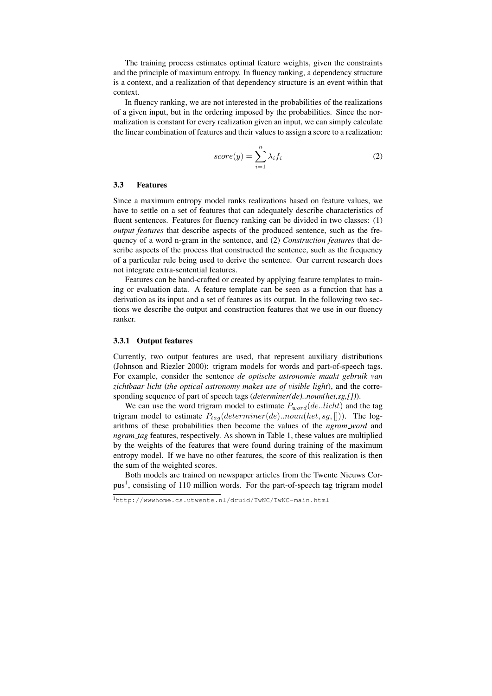The training process estimates optimal feature weights, given the constraints and the principle of maximum entropy. In fluency ranking, a dependency structure is a context, and a realization of that dependency structure is an event within that context.

In fluency ranking, we are not interested in the probabilities of the realizations of a given input, but in the ordering imposed by the probabilities. Since the normalization is constant for every realization given an input, we can simply calculate the linear combination of features and their values to assign a score to a realization:

$$
score(y) = \sum_{i=1}^{n} \lambda_i f_i
$$
 (2)

#### 3.3 Features

Since a maximum entropy model ranks realizations based on feature values, we have to settle on a set of features that can adequately describe characteristics of fluent sentences. Features for fluency ranking can be divided in two classes: (1) *output features* that describe aspects of the produced sentence, such as the frequency of a word n-gram in the sentence, and (2) *Construction features* that describe aspects of the process that constructed the sentence, such as the frequency of a particular rule being used to derive the sentence. Our current research does not integrate extra-sentential features.

Features can be hand-crafted or created by applying feature templates to training or evaluation data. A feature template can be seen as a function that has a derivation as its input and a set of features as its output. In the following two sections we describe the output and construction features that we use in our fluency ranker.

### 3.3.1 Output features

Currently, two output features are used, that represent auxiliary distributions (Johnson and Riezler 2000): trigram models for words and part-of-speech tags. For example, consider the sentence *de optische astronomie maakt gebruik van zichtbaar licht* (*the optical astronomy makes use of visible light*), and the corresponding sequence of part of speech tags (*determiner(de)..noun(het,sg,[])*).

We can use the word trigram model to estimate  $P_{word}(de..licht)$  and the tag trigram model to estimate  $P_{tag}(determine r(de)..noun(het, sg, []))$ . The logarithms of these probabilities then become the values of the *ngram word* and *ngram tag* features, respectively. As shown in Table 1, these values are multiplied by the weights of the features that were found during training of the maximum entropy model. If we have no other features, the score of this realization is then the sum of the weighted scores.

Both models are trained on newspaper articles from the Twente Nieuws Corpus<sup>1</sup>, consisting of 110 million words. For the part-of-speech tag trigram model

<sup>1</sup>http://wwwhome.cs.utwente.nl/druid/TwNC/TwNC-main.html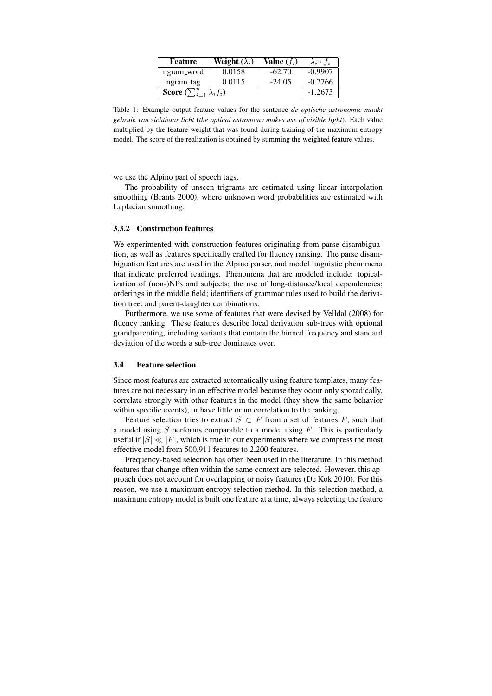| Feature                                           | Weight $(\lambda_i)$ | Value $(f_i)$ | $\lambda_i \cdot f_i$ |
|---------------------------------------------------|----------------------|---------------|-----------------------|
| ngram_word                                        | 0.0158               | $-62.70$      | $-0.9907$             |
| ngram_tag                                         | 0.0115               | $-24.05$      | $-0.2766$             |
| <b>Score</b> $(\sum_{i=1}^{n}$<br>$\lambda_i f_i$ |                      |               | $-1.2673$             |

Table 1: Example output feature values for the sentence *de optische astronomie maakt gebruik van zichtbaar licht* (*the optical astronomy makes use of visible light*). Each value multiplied by the feature weight that was found during training of the maximum entropy model. The score of the realization is obtained by summing the weighted feature values.

we use the Alpino part of speech tags.

The probability of unseen trigrams are estimated using linear interpolation smoothing (Brants 2000), where unknown word probabilities are estimated with Laplacian smoothing.

#### 3.3.2 Construction features

We experimented with construction features originating from parse disambiguation, as well as features specifically crafted for fluency ranking. The parse disambiguation features are used in the Alpino parser, and model linguistic phenomena that indicate preferred readings. Phenomena that are modeled include: topicalization of (non-)NPs and subjects; the use of long-distance/local dependencies; orderings in the middle field; identifiers of grammar rules used to build the derivation tree; and parent-daughter combinations.

Furthermore, we use some of features that were devised by Velldal (2008) for fluency ranking. These features describe local derivation sub-trees with optional grandparenting, including variants that contain the binned frequency and standard deviation of the words a sub-tree dominates over.

#### 3.4 Feature selection

Since most features are extracted automatically using feature templates, many features are not necessary in an effective model because they occur only sporadically, correlate strongly with other features in the model (they show the same behavior within specific events), or have little or no correlation to the ranking.

Feature selection tries to extract  $S \subset F$  from a set of features F, such that a model using  $S$  performs comparable to a model using  $F$ . This is particularly useful if  $|S| \ll |F|$ , which is true in our experiments where we compress the most effective model from 500,911 features to 2,200 features.

Frequency-based selection has often been used in the literature. In this method features that change often within the same context are selected. However, this approach does not account for overlapping or noisy features (De Kok 2010). For this reason, we use a maximum entropy selection method. In this selection method, a maximum entropy model is built one feature at a time, always selecting the feature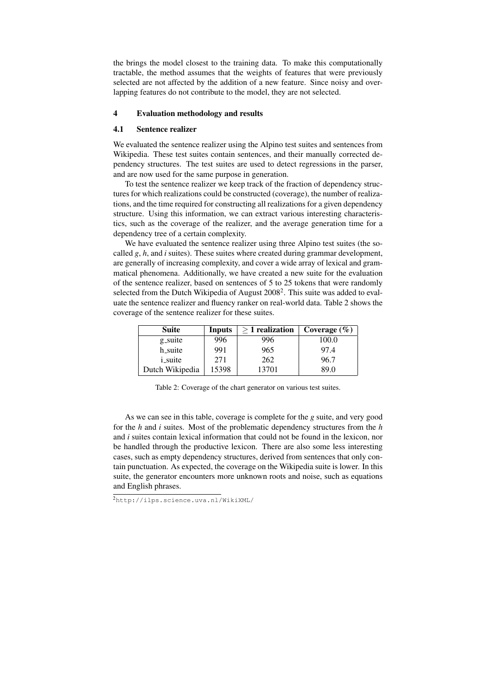the brings the model closest to the training data. To make this computationally tractable, the method assumes that the weights of features that were previously selected are not affected by the addition of a new feature. Since noisy and overlapping features do not contribute to the model, they are not selected.

## 4 Evaluation methodology and results

### 4.1 Sentence realizer

We evaluated the sentence realizer using the Alpino test suites and sentences from Wikipedia. These test suites contain sentences, and their manually corrected dependency structures. The test suites are used to detect regressions in the parser, and are now used for the same purpose in generation.

To test the sentence realizer we keep track of the fraction of dependency structures for which realizations could be constructed (coverage), the number of realizations, and the time required for constructing all realizations for a given dependency structure. Using this information, we can extract various interesting characteristics, such as the coverage of the realizer, and the average generation time for a dependency tree of a certain complexity.

We have evaluated the sentence realizer using three Alpino test suites (the socalled *g*, *h*, and *i* suites). These suites where created during grammar development, are generally of increasing complexity, and cover a wide array of lexical and grammatical phenomena. Additionally, we have created a new suite for the evaluation of the sentence realizer, based on sentences of 5 to 25 tokens that were randomly selected from the Dutch Wikipedia of August 2008<sup>2</sup>. This suite was added to evaluate the sentence realizer and fluency ranker on real-world data. Table 2 shows the coverage of the sentence realizer for these suites.

| <b>Suite</b>    | Inputs | $>1$ realization | Coverage $(\% )$ |
|-----------------|--------|------------------|------------------|
| g_suite         | 996    | 996              | 100.0            |
| h_suite         | 991    | 965              | 97.4             |
| <i>i_suite</i>  | 271    | 262              | 96.7             |
| Dutch Wikipedia | 15398  | 13701            | 89.0             |

Table 2: Coverage of the chart generator on various test suites.

As we can see in this table, coverage is complete for the *g* suite, and very good for the *h* and *i* suites. Most of the problematic dependency structures from the *h* and *i* suites contain lexical information that could not be found in the lexicon, nor be handled through the productive lexicon. There are also some less interesting cases, such as empty dependency structures, derived from sentences that only contain punctuation. As expected, the coverage on the Wikipedia suite is lower. In this suite, the generator encounters more unknown roots and noise, such as equations and English phrases.

<sup>2</sup>http://ilps.science.uva.nl/WikiXML/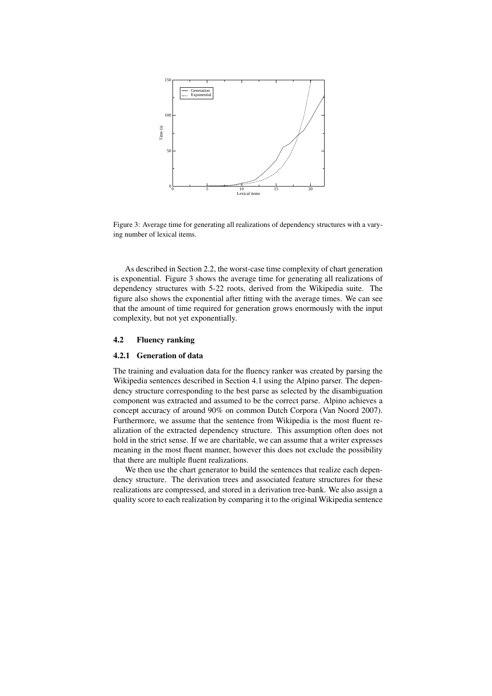

Figure 3: Average time for generating all realizations of dependency structures with a varying number of lexical items.

As described in Section 2.2, the worst-case time complexity of chart generation is exponential. Figure 3 shows the average time for generating all realizations of dependency structures with 5-22 roots, derived from the Wikipedia suite. The figure also shows the exponential after fitting with the average times. We can see that the amount of time required for generation grows enormously with the input complexity, but not yet exponentially.

## 4.2 Fluency ranking

#### 4.2.1 Generation of data

The training and evaluation data for the fluency ranker was created by parsing the Wikipedia sentences described in Section 4.1 using the Alpino parser. The dependency structure corresponding to the best parse as selected by the disambiguation component was extracted and assumed to be the correct parse. Alpino achieves a concept accuracy of around 90% on common Dutch Corpora (Van Noord 2007). Furthermore, we assume that the sentence from Wikipedia is the most fluent realization of the extracted dependency structure. This assumption often does not hold in the strict sense. If we are charitable, we can assume that a writer expresses meaning in the most fluent manner, however this does not exclude the possibility that there are multiple fluent realizations.

We then use the chart generator to build the sentences that realize each dependency structure. The derivation trees and associated feature structures for these realizations are compressed, and stored in a derivation tree-bank. We also assign a quality score to each realization by comparing it to the original Wikipedia sentence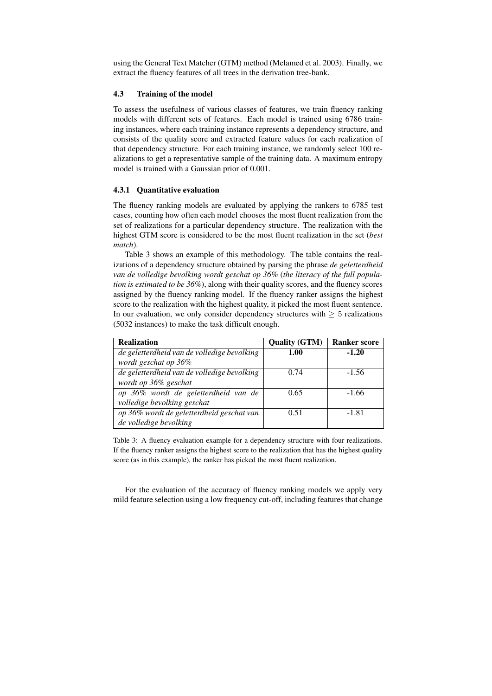using the General Text Matcher (GTM) method (Melamed et al. 2003). Finally, we extract the fluency features of all trees in the derivation tree-bank.

## 4.3 Training of the model

To assess the usefulness of various classes of features, we train fluency ranking models with different sets of features. Each model is trained using 6786 training instances, where each training instance represents a dependency structure, and consists of the quality score and extracted feature values for each realization of that dependency structure. For each training instance, we randomly select 100 realizations to get a representative sample of the training data. A maximum entropy model is trained with a Gaussian prior of 0.001.

### 4.3.1 Quantitative evaluation

The fluency ranking models are evaluated by applying the rankers to 6785 test cases, counting how often each model chooses the most fluent realization from the set of realizations for a particular dependency structure. The realization with the highest GTM score is considered to be the most fluent realization in the set (*best match*).

Table 3 shows an example of this methodology. The table contains the realizations of a dependency structure obtained by parsing the phrase *de geletterdheid van de volledige bevolking wordt geschat op 36%* (*the literacy of the full population is estimated to be 36%*), along with their quality scores, and the fluency scores assigned by the fluency ranking model. If the fluency ranker assigns the highest score to the realization with the highest quality, it picked the most fluent sentence. In our evaluation, we only consider dependency structures with  $\geq 5$  realizations (5032 instances) to make the task difficult enough.

| <b>Realization</b>                          | <b>Quality (GTM)</b> | <b>Ranker score</b> |
|---------------------------------------------|----------------------|---------------------|
| de geletterdheid van de volledige bevolking | 1.00                 | $-1.20$             |
| wordt geschat op 36%                        |                      |                     |
| de geletterdheid van de volledige bevolking | 0.74                 | $-1.56$             |
| wordt op 36% geschat                        |                      |                     |
| op 36% wordt de geletterdheid van de        | 0.65                 | $-1.66$             |
| volledige bevolking geschat                 |                      |                     |
| op 36% wordt de geletterdheid geschat van   | 0.51                 | $-1.81$             |
| de volledige bevolking                      |                      |                     |

Table 3: A fluency evaluation example for a dependency structure with four realizations. If the fluency ranker assigns the highest score to the realization that has the highest quality score (as in this example), the ranker has picked the most fluent realization.

For the evaluation of the accuracy of fluency ranking models we apply very mild feature selection using a low frequency cut-off, including features that change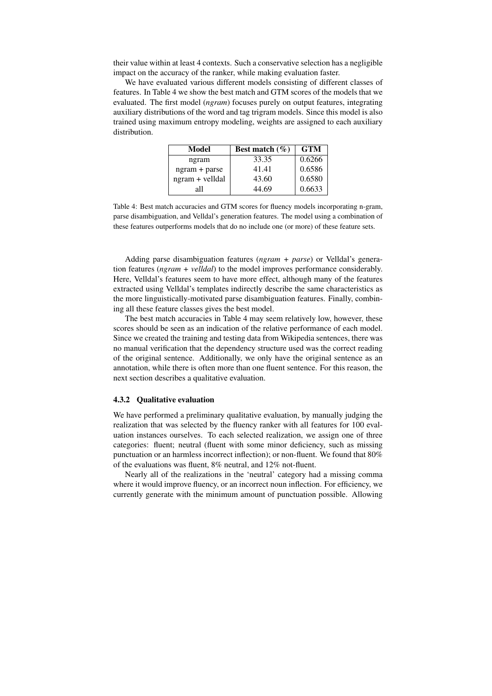their value within at least 4 contexts. Such a conservative selection has a negligible impact on the accuracy of the ranker, while making evaluation faster.

We have evaluated various different models consisting of different classes of features. In Table 4 we show the best match and GTM scores of the models that we evaluated. The first model (*ngram*) focuses purely on output features, integrating auxiliary distributions of the word and tag trigram models. Since this model is also trained using maximum entropy modeling, weights are assigned to each auxiliary distribution.

| Model           | Best match $(\% )$ | <b>GTM</b> |
|-----------------|--------------------|------------|
| ngram           | 33.35              | 0.6266     |
| $ngram + parse$ | 41.41              | 0.6586     |
| ngram + velldal | 43.60              | 0.6580     |
| all             | 44.69              | 0.6633     |

Table 4: Best match accuracies and GTM scores for fluency models incorporating n-gram, parse disambiguation, and Velldal's generation features. The model using a combination of these features outperforms models that do no include one (or more) of these feature sets.

Adding parse disambiguation features (*ngram + parse*) or Velldal's generation features (*ngram + velldal*) to the model improves performance considerably. Here, Velldal's features seem to have more effect, although many of the features extracted using Velldal's templates indirectly describe the same characteristics as the more linguistically-motivated parse disambiguation features. Finally, combining all these feature classes gives the best model.

The best match accuracies in Table 4 may seem relatively low, however, these scores should be seen as an indication of the relative performance of each model. Since we created the training and testing data from Wikipedia sentences, there was no manual verification that the dependency structure used was the correct reading of the original sentence. Additionally, we only have the original sentence as an annotation, while there is often more than one fluent sentence. For this reason, the next section describes a qualitative evaluation.

#### 4.3.2 Qualitative evaluation

We have performed a preliminary qualitative evaluation, by manually judging the realization that was selected by the fluency ranker with all features for 100 evaluation instances ourselves. To each selected realization, we assign one of three categories: fluent; neutral (fluent with some minor deficiency, such as missing punctuation or an harmless incorrect inflection); or non-fluent. We found that 80% of the evaluations was fluent, 8% neutral, and 12% not-fluent.

Nearly all of the realizations in the 'neutral' category had a missing comma where it would improve fluency, or an incorrect noun inflection. For efficiency, we currently generate with the minimum amount of punctuation possible. Allowing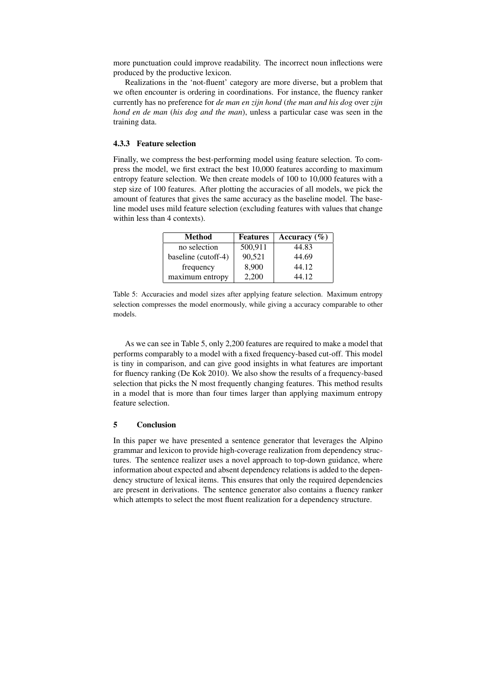more punctuation could improve readability. The incorrect noun inflections were produced by the productive lexicon.

Realizations in the 'not-fluent' category are more diverse, but a problem that we often encounter is ordering in coordinations. For instance, the fluency ranker currently has no preference for *de man en zijn hond* (*the man and his dog* over *zijn hond en de man* (*his dog and the man*), unless a particular case was seen in the training data.

### 4.3.3 Feature selection

Finally, we compress the best-performing model using feature selection. To compress the model, we first extract the best 10,000 features according to maximum entropy feature selection. We then create models of 100 to 10,000 features with a step size of 100 features. After plotting the accuracies of all models, we pick the amount of features that gives the same accuracy as the baseline model. The baseline model uses mild feature selection (excluding features with values that change within less than 4 contexts).

| Method              | <b>Features</b> | Accuracy $(\% )$ |
|---------------------|-----------------|------------------|
| no selection        | 500,911         | 44.83            |
| baseline (cutoff-4) | 90,521          | 44.69            |
| frequency           | 8,900           | 44.12            |
| maximum entropy     | 2.200           | 44.12            |

Table 5: Accuracies and model sizes after applying feature selection. Maximum entropy selection compresses the model enormously, while giving a accuracy comparable to other models.

As we can see in Table 5, only 2,200 features are required to make a model that performs comparably to a model with a fixed frequency-based cut-off. This model is tiny in comparison, and can give good insights in what features are important for fluency ranking (De Kok 2010). We also show the results of a frequency-based selection that picks the N most frequently changing features. This method results in a model that is more than four times larger than applying maximum entropy feature selection.

## 5 Conclusion

In this paper we have presented a sentence generator that leverages the Alpino grammar and lexicon to provide high-coverage realization from dependency structures. The sentence realizer uses a novel approach to top-down guidance, where information about expected and absent dependency relations is added to the dependency structure of lexical items. This ensures that only the required dependencies are present in derivations. The sentence generator also contains a fluency ranker which attempts to select the most fluent realization for a dependency structure.